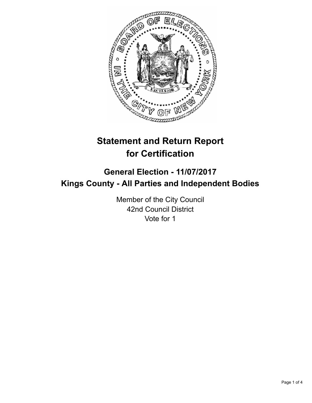

# **Statement and Return Report for Certification**

## **General Election - 11/07/2017 Kings County - All Parties and Independent Bodies**

Member of the City Council 42nd Council District Vote for 1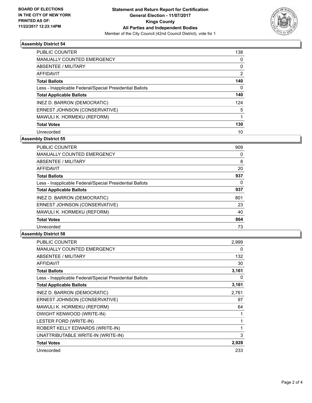

#### **Assembly District 54**

| <b>PUBLIC COUNTER</b>                                    | 138      |
|----------------------------------------------------------|----------|
| <b>MANUALLY COUNTED EMERGENCY</b>                        | 0        |
| ABSENTEE / MILITARY                                      | 0        |
| AFFIDAVIT                                                | 2        |
| <b>Total Ballots</b>                                     | 140      |
| Less - Inapplicable Federal/Special Presidential Ballots | $\Omega$ |
| <b>Total Applicable Ballots</b>                          | 140      |
| INEZ D. BARRON (DEMOCRATIC)                              | 124      |
| ERNEST JOHNSON (CONSERVATIVE)                            | 5        |
| MAWULI K. HORMEKU (REFORM)                               |          |
| <b>Total Votes</b>                                       | 130      |
| Unrecorded                                               | 10       |

### **Assembly District 55**

| <b>PUBLIC COUNTER</b>                                    | 909 |
|----------------------------------------------------------|-----|
| <b>MANUALLY COUNTED EMERGENCY</b>                        | 0   |
| ABSENTEE / MILITARY                                      | 8   |
| AFFIDAVIT                                                | 20  |
| <b>Total Ballots</b>                                     | 937 |
| Less - Inapplicable Federal/Special Presidential Ballots | 0   |
| <b>Total Applicable Ballots</b>                          | 937 |
| INEZ D. BARRON (DEMOCRATIC)                              | 801 |
| ERNEST JOHNSON (CONSERVATIVE)                            | 23  |
| MAWULI K. HORMEKU (REFORM)                               | 40  |
| <b>Total Votes</b>                                       | 864 |
| Unrecorded                                               | 73  |
|                                                          |     |

#### **Assembly District 58**

| <b>PUBLIC COUNTER</b>                                    | 2,999 |
|----------------------------------------------------------|-------|
| <b>MANUALLY COUNTED EMERGENCY</b>                        | 0     |
| ABSENTEE / MILITARY                                      | 132   |
| <b>AFFIDAVIT</b>                                         | 30    |
| <b>Total Ballots</b>                                     | 3,161 |
| Less - Inapplicable Federal/Special Presidential Ballots | 0     |
| <b>Total Applicable Ballots</b>                          | 3,161 |
| INEZ D. BARRON (DEMOCRATIC)                              | 2,761 |
| ERNEST JOHNSON (CONSERVATIVE)                            | 97    |
| MAWULI K. HORMEKU (REFORM)                               | 64    |
| DWIGHT KENWOOD (WRITE-IN)                                | 1     |
| LESTER FORD (WRITE-IN)                                   | 1     |
| ROBERT KELLY EDWARDS (WRITE-IN)                          | 1     |
| UNATTRIBUTABLE WRITE-IN (WRITE-IN)                       | 3     |
| <b>Total Votes</b>                                       | 2,928 |
| Unrecorded                                               | 233   |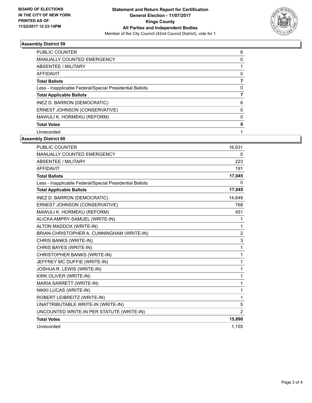

#### **Assembly District 59**

| <b>PUBLIC COUNTER</b>                                    | 6 |
|----------------------------------------------------------|---|
| <b>MANUALLY COUNTED EMERGENCY</b>                        | 0 |
| ABSENTEE / MILITARY                                      |   |
| AFFIDAVIT                                                | 0 |
| <b>Total Ballots</b>                                     |   |
| Less - Inapplicable Federal/Special Presidential Ballots | 0 |
| <b>Total Applicable Ballots</b>                          |   |
| INEZ D. BARRON (DEMOCRATIC)                              | 6 |
| ERNEST JOHNSON (CONSERVATIVE)                            | 0 |
| MAWULI K. HORMEKU (REFORM)                               | 0 |
| <b>Total Votes</b>                                       | 6 |
| Unrecorded                                               |   |

#### **Assembly District 60**

| <b>PUBLIC COUNTER</b>                                    | 16,631         |
|----------------------------------------------------------|----------------|
| MANUALLY COUNTED EMERGENCY                               | 0              |
| <b>ABSENTEE / MILITARY</b>                               | 223            |
| <b>AFFIDAVIT</b>                                         | 191            |
| <b>Total Ballots</b>                                     | 17,045         |
| Less - Inapplicable Federal/Special Presidential Ballots | 0              |
| <b>Total Applicable Ballots</b>                          | 17,045         |
| INEZ D. BARRON (DEMOCRATIC)                              | 14,649         |
| ERNEST JOHNSON (CONSERVATIVE)                            | 768            |
| MAWULI K. HORMEKU (REFORM)                               | 451            |
| ALICKA AMPRY-SAMUEL (WRITE-IN)                           | 1              |
| ALTON MADDOX (WRITE-IN)                                  | 1              |
| BRIAN-CHRISTOPHER A. CUNNINGHAM (WRITE-IN)               | $\overline{2}$ |
| CHRIS BANKS (WRITE-IN)                                   | 3              |
| CHRIS BAYES (WRITE-IN)                                   | 1              |
| CHRISTOPHER BANKS (WRITE-IN)                             | 1              |
| JEFFREY MC DUFFIE (WRITE-IN)                             | 1              |
| JOSHUA R. LEWIS (WRITE-IN)                               | 1              |
| KIRK OLIVER (WRITE-IN)                                   | 1              |
| MARIA SARRETT (WRITE-IN)                                 | 1              |
| NIKKI LUCAS (WRITE-IN)                                   | 1              |
| ROBERT LEIBREITZ (WRITE-IN)                              | 1              |
| UNATTRIBUTABLE WRITE-IN (WRITE-IN)                       | 5              |
| UNCOUNTED WRITE-IN PER STATUTE (WRITE-IN)                | $\overline{2}$ |
| <b>Total Votes</b>                                       | 15,890         |
| Unrecorded                                               | 1,155          |